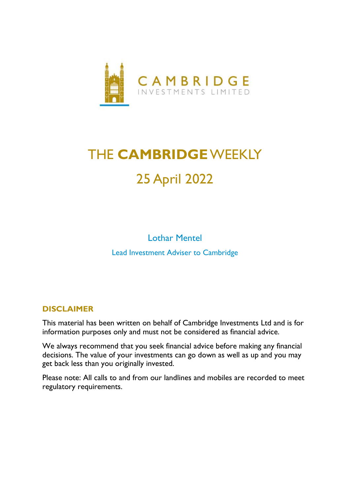

# THE **CAMBRIDGE**WEEKLY 25 April 2022

Lothar Mentel Lead Investment Adviser to Cambridge

### **DISCLAIMER**

This material has been written on behalf of Cambridge Investments Ltd and is for information purposes only and must not be considered as financial advice.

We always recommend that you seek financial advice before making any financial decisions. The value of your investments can go down as well as up and you may get back less than you originally invested.

Please note: All calls to and from our landlines and mobiles are recorded to meet regulatory requirements.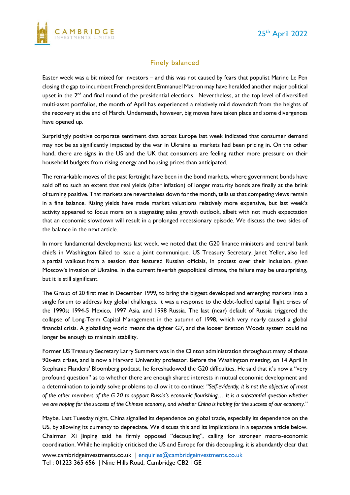#### Finely balanced

Easter week was a bit mixed for investors – and this was not caused by fears that populist Marine Le Pen closing the gap to incumbent French president Emmanuel Macron may have heralded another major political upset in the 2<sup>nd</sup> and final round of the presidential elections. Nevertheless, at the top level of diversified multi-asset portfolios, the month of April has experienced a relatively mild downdraft from the heights of the recovery at the end of March. Underneath, however, big moves have taken place and some divergences have opened up.

Surprisingly positive corporate sentiment data across Europe last week indicated that consumer demand may not be as significantly impacted by the war in Ukraine as markets had been pricing in. On the other hand, there are signs in the US and the UK that consumers are feeling rather more pressure on their household budgets from rising energy and housing prices than anticipated.

The remarkable moves of the past fortnight have been in the bond markets, where government bonds have sold off to such an extent that real yields (after inflation) of longer maturity bonds are finally at the brink of turning positive. That markets are nevertheless down for the month, tells us that competing views remain in a fine balance. Rising yields have made market valuations relatively more expensive, but last week's activity appeared to focus more on a stagnating sales growth outlook, albeit with not much expectation that an economic slowdown will result in a prolonged recessionary episode. We discuss the two sides of the balance in the next article.

In more fundamental developments last week, we noted that the G20 finance ministers and central bank chiefs in Washington failed to issue a joint communique. US Treasury Secretary, Janet Yellen, also led a partial walkout from a session that featured Russian officials, in protest over their inclusion, given Moscow's invasion of Ukraine. In the current feverish geopolitical climate, the failure may be unsurprising, but it is still significant.

The Group of 20 first met in December 1999, to bring the biggest developed and emerging markets into a single forum to address key global challenges. It was a response to the debt-fuelled capital flight crises of the 1990s; 1994-5 Mexico, 1997 Asia, and 1998 Russia. The last (near) default of Russia triggered the collapse of Long-Term Capital Management in the autumn of 1998, which very nearly caused a global financial crisis. A globalising world meant the tighter G7, and the looser Bretton Woods system could no longer be enough to maintain stability.

Former US Treasury Secretary Larry Summers was in the Clinton administration throughout many of those 90s-era crises, and is now a Harvard University professor. Before the Washington meeting, on 14 April in Stephanie Flanders' Bloomberg podcast, he foreshadowed the G20 difficulties. He said that it's now a "very profound question" as to whether there are enough shared interests in mutual economic development and a determination to jointly solve problems to allow it to continue: *"Self-evidently, it is not the objective of most of the other members of the G-20 to support Russia's economic flourishing… It is a substantial question whether we are hoping for the success of the Chinese economy, and whether China is hoping for the success of our economy."*

Maybe. Last Tuesday night, China signalled its dependence on global trade, especially its dependence on the US, by allowing its currency to depreciate. We discuss this and its implications in a separate article below. Chairman Xi Jinping said he firmly opposed "decoupling", calling for stronger macro-economic coordination. While he implicitly criticised the US and Europe for this decoupling, it is abundantly clear that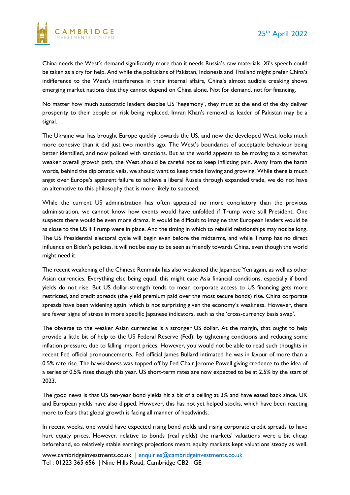

China needs the West's demand significantly more than it needs Russia's raw materials. Xi's speech could be taken as a cry for help. And while the politicians of Pakistan, Indonesia and Thailand might prefer China's indifference to the West's interference in their internal affairs, China's almost audible creaking shows emerging market nations that they cannot depend on China alone. Not for demand, not for financing.

No matter how much autocratic leaders despise US 'hegemony', they must at the end of the day deliver prosperity to their people or risk being replaced. Imran Khan's removal as leader of Pakistan may be a signal.

The Ukraine war has brought Europe quickly towards the US, and now the developed West looks much more cohesive than it did just two months ago. The West's boundaries of acceptable behaviour being better identified, and now policed with sanctions. But as the world appears to be moving to a somewhat weaker overall growth path, the West should be careful not to keep inflicting pain. Away from the harsh words, behind the diplomatic veils, we should want to keep trade flowing and growing. While there is much angst over Europe's apparent failure to achieve a liberal Russia through expanded trade, we do not have an alternative to this philosophy that is more likely to succeed.

While the current US administration has often appeared no more conciliatory than the previous administration, we cannot know how events would have unfolded if Trump were still President. One suspects there would be even more drama. It would be difficult to imagine that European leaders would be as close to the US if Trump were in place. And the timing in which to rebuild relationships may not be long. The US Presidential electoral cycle will begin even before the midterms, and while Trump has no direct influence on Biden's policies, it will not be easy to be seen as friendly towards China, even though the world might need it.

The recent weakening of the Chinese Renminbi has also weakened the Japanese Yen again, as well as other Asian currencies. Everything else being equal, this might ease Asia financial conditions, especially if bond yields do not rise. But US dollar-strength tends to mean corporate access to US financing gets more restricted, and credit spreads (the yield premium paid over the most secure bonds) rise. China corporate spreads have been widening again, which is not surprising given the economy's weakness. However, there are fewer signs of stress in more specific Japanese indicators, such as the 'cross-currency basis swap'.

The obverse to the weaker Asian currencies is a stronger US dollar. At the margin, that ought to help provide a little bit of help to the US Federal Reserve (Fed), by tightening conditions and reducing some inflation pressure, due to falling import prices. However, you would not be able to read such thoughts in recent Fed official pronouncements. Fed official James Bullard intimated he was in favour of more than a 0.5% rate rise. The hawkishness was topped off by Fed Chair Jerome Powell giving credence to the idea of a series of 0.5% rises though this year. US short-term rates are now expected to be at 2.5% by the start of 2023.

The good news is that US ten-year bond yields hit a bit of a ceiling at 3% and have eased back since. UK and European yields have also dipped. However, this has not yet helped stocks, which have been reacting more to fears that global growth is facing all manner of headwinds.

In recent weeks, one would have expected rising bond yields and rising corporate credit spreads to have hurt equity prices. However, relative to bonds (real yields) the markets' valuations were a bit cheap beforehand, so relatively stable earnings projections meant equity markets kept valuations steady as well.

www.cambridgeinvestments.co.uk | [enquiries@cambridgeinvestments.co.uk](mailto:enquiries@cambridgeinvestments.co.uk) Tel : 01223 365 656 | Nine Hills Road, Cambridge CB2 1GE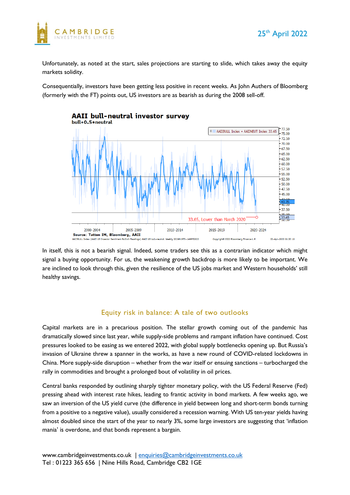

Unfortunately, as noted at the start, sales projections are starting to slide, which takes away the equity markets solidity.

Consequentially, investors have been getting less positive in recent weeks. As John Authers of Bloomberg (formerly with the FT) points out, US investors are as bearish as during the 2008 sell-off.



In itself, this is not a bearish signal. Indeed, some traders see this as a contrarian indicator which might signal a buying opportunity. For us, the weakening growth backdrop is more likely to be important. We are inclined to look through this, given the resilience of the US jobs market and Western households' still healthy savings.

#### Equity risk in balance: A tale of two outlooks

Capital markets are in a precarious position. The stellar growth coming out of the pandemic has dramatically slowed since last year, while supply-side problems and rampant inflation have continued. Cost pressures looked to be easing as we entered 2022, with global supply bottlenecks opening up. But Russia's invasion of Ukraine threw a spanner in the works, as have a new round of COVID-related lockdowns in China. More supply-side disruption – whether from the war itself or ensuing sanctions – turbocharged the rally in commodities and brought a prolonged bout of volatility in oil prices.

Central banks responded by outlining sharply tighter monetary policy, with the US Federal Reserve (Fed) pressing ahead with interest rate hikes, leading to frantic activity in bond markets. A few weeks ago, we saw an inversion of the US yield curve (the difference in yield between long and short-term bonds turning from a positive to a negative value), usually considered a recession warning. With US ten-year yields having almost doubled since the start of the year to nearly 3%, some large investors are suggesting that 'inflation mania' is overdone, and that bonds represent a bargain.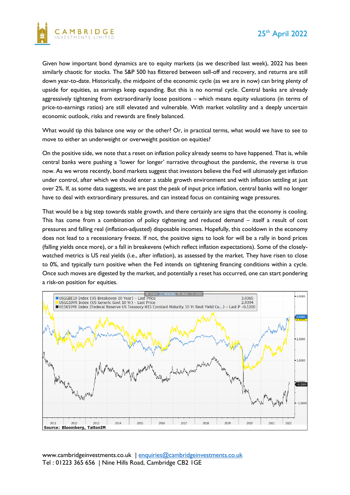

Given how important bond dynamics are to equity markets (as we described last week), 2022 has been similarly chaotic for stocks. The S&P 500 has flittered between sell-off and recovery, and returns are still down year-to-date. Historically, the midpoint of the economic cycle (as we are in now) can bring plenty of upside for equities, as earnings keep expanding. But this is no normal cycle. Central banks are already aggressively tightening from extraordinarily loose positions – which means equity valuations (in terms of price-to-earnings ratios) are still elevated and vulnerable. With market volatility and a deeply uncertain economic outlook, risks and rewards are finely balanced.

What would tip this balance one way or the other? Or, in practical terms, what would we have to see to move to either an underweight or overweight position on equities?

On the positive side, we note that a reset on inflation policy already seems to have happened. That is, while central banks were pushing a 'lower for longer' narrative throughout the pandemic, the reverse is true now. As we wrote recently, bond markets suggest that investors believe the Fed will ultimately get inflation under control, after which we should enter a stable growth environment and with inflation settling at just over 2%. If, as some data suggests, we are past the peak of input price inflation, central banks will no longer have to deal with extraordinary pressures, and can instead focus on containing wage pressures.

That would be a big step towards stable growth, and there certainly are signs that the economy is cooling. This has come from a combination of policy tightening and reduced demand – itself a result of cost pressures and falling real (inflation-adjusted) disposable incomes. Hopefully, this cooldown in the economy does not lead to a recessionary freeze. If not, the positive signs to look for will be a rally in bond prices (falling yields once more), or a fall in breakevens (which reflect inflation expectations). Some of the closelywatched metrics is US real yields (i.e., after inflation), as assessed by the market. They have risen to close to 0%, and typically turn positive when the Fed intends on tightening financing conditions within a cycle. Once such moves are digested by the market, and potentially a reset has occurred, one can start pondering a risk-on position for equities.



www.cambridgeinvestments.co.uk | [enquiries@cambridgeinvestments.co.uk](mailto:enquiries@cambridgeinvestments.co.uk) Tel : 01223 365 656 | Nine Hills Road, Cambridge CB2 1GE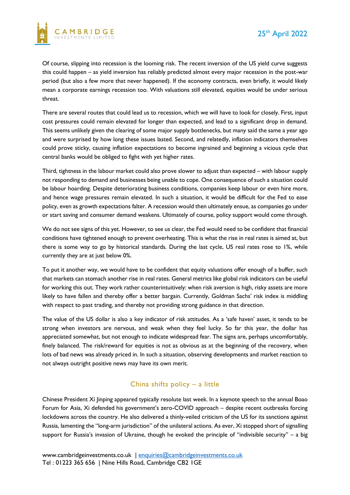

Of course, slipping into recession is the looming risk. The recent inversion of the US yield curve suggests this could happen – as yield inversion has reliably predicted almost every major recession in the post-war period (but also a few more that never happened). If the economy contracts, even briefly, it would likely mean a corporate earnings recession too. With valuations still elevated, equities would be under serious threat.

There are several routes that could lead us to recession, which we will have to look for closely. First, input cost pressures could remain elevated for longer than expected, and lead to a significant drop in demand. This seems unlikely given the clearing of some major supply bottlenecks, but many said the same a year ago and were surprised by how long these issues lasted. Second, and relatedly, inflation indicators themselves could prove sticky, causing inflation expectations to become ingrained and beginning a vicious cycle that central banks would be obliged to fight with yet higher rates.

Third, tightness in the labour market could also prove slower to adjust than expected – with labour supply not responding to demand and businesses being unable to cope. One consequence of such a situation could be labour hoarding. Despite deteriorating business conditions, companies keep labour or even hire more, and hence wage pressures remain elevated. In such a situation, it would be difficult for the Fed to ease policy, even as growth expectations falter. A recession would then ultimately ensue, as companies go under or start saving and consumer demand weakens. Ultimately of course, policy support would come through.

We do not see signs of this yet. However, to see us clear, the Fed would need to be confident that financial conditions have tightened enough to prevent overheating. This is what the rise in real rates is aimed at, but there is some way to go by historical standards. During the last cycle, US real rates rose to 1%, while currently they are at just below 0%.

To put it another way, we would have to be confident that equity valuations offer enough of a buffer, such that markets can stomach another rise in real rates. General metrics like global risk indicators can be useful for working this out. They work rather counterintuitively: when risk aversion is high, risky assets are more likely to have fallen and thereby offer a better bargain. Currently, Goldman Sachs' risk index is middling with respect to past trading, and thereby not providing strong guidance in that direction.

The value of the US dollar is also a key indicator of risk attitudes. As a 'safe haven' asset, it tends to be strong when investors are nervous, and weak when they feel lucky. So far this year, the dollar has appreciated somewhat, but not enough to indicate widespread fear. The signs are, perhaps uncomfortably, finely balanced. The risk/reward for equities is not as obvious as at the beginning of the recovery, when lots of bad news was already priced in. In such a situation, observing developments and market reaction to not always outright positive news may have its own merit.

#### China shifts policy – a little

Chinese President Xi Jinping appeared typically resolute last week. In a keynote speech to the annual Boao Forum for Asia, Xi defended his government's zero-COVID approach – despite recent outbreaks forcing lockdowns across the country. He also delivered a thinly-veiled criticism of the US for its sanctions against Russia, lamenting the "long-arm jurisdiction" of the unilateral actions. As ever, Xi stopped short of signalling support for Russia's invasion of Ukraine, though he evoked the principle of "indivisible security" – a big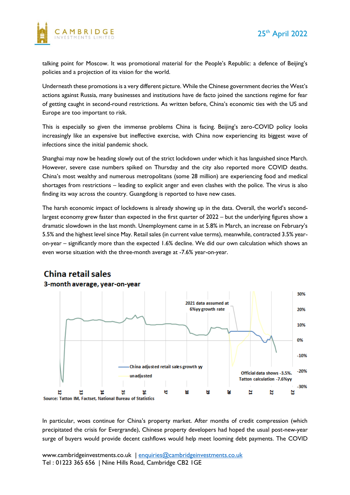

talking point for Moscow. It was promotional material for the People's Republic: a defence of Beijing's policies and a projection of its vision for the world.

Underneath these promotions is a very different picture. While the Chinese government decries the West's actions against Russia, many businesses and institutions have de facto joined the sanctions regime for fear of getting caught in second-round restrictions. As written before, China's economic ties with the US and Europe are too important to risk.

This is especially so given the immense problems China is facing. Beijing's zero-COVID policy looks increasingly like an expensive but ineffective exercise, with China now experiencing its biggest wave of infections since the initial pandemic shock.

Shanghai may now be heading slowly out of the strict lockdown under which it has languished since March. However, severe case numbers spiked on Thursday and the city also reported more COVID deaths. China's most wealthy and numerous metropolitans (some 28 million) are experiencing food and medical shortages from restrictions – leading to explicit anger and even clashes with the police. The virus is also finding its way across the country. Guangdong is reported to have new cases.

The harsh economic impact of lockdowns is already showing up in the data. Overall, the world's secondlargest economy grew faster than expected in the first quarter of 2022 – but the underlying figures show a dramatic slowdown in the last month. Unemployment came in at 5.8% in March, an increase on February's 5.5% and the highest level since May. Retail sales (in current value terms), meanwhile, contracted 3.5% yearon-year – significantly more than the expected 1.6% decline. We did our own calculation which shows an even worse situation with the three-month average at -7.6% year-on-year.



## **China retail sales**

In particular, woes continue for China's property market. After months of credit compression (which precipitated the crisis for Evergrande), Chinese property developers had hoped the usual post-new-year surge of buyers would provide decent cashflows would help meet looming debt payments. The COVID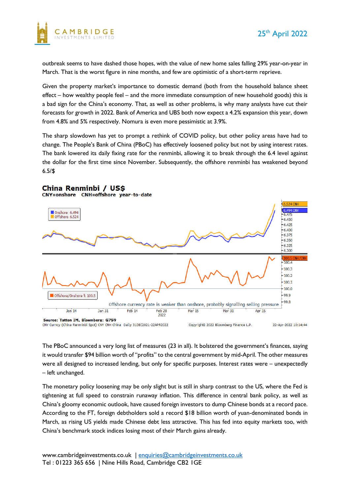

outbreak seems to have dashed those hopes, with the value of new home sales falling 29% year-on-year in March. That is the worst figure in nine months, and few are optimistic of a short-term reprieve.

Given the property market's importance to domestic demand (both from the household balance sheet effect – how wealthy people feel – and the more immediate consumption of new household goods) this is a bad sign for the China's economy. That, as well as other problems, is why many analysts have cut their forecasts for growth in 2022. Bank of America and UBS both now expect a 4.2% expansion this year, down from 4.8% and 5% respectively. Nomura is even more pessimistic at 3.9%.

The sharp slowdown has yet to prompt a rethink of COVID policy, but other policy areas have had to change. The People's Bank of China (PBoC) has effectively loosened policy but not by using interest rates. The bank lowered its daily fixing rate for the renminbi, allowing it to break through the 6.4 level against the dollar for the first time since November. Subsequently, the offshore renminbi has weakened beyond 6.5/\$

#### China Renminbi / US\$

CNY=onshore CNH=offshore year-to-date



The PBoC announced a very long list of measures (23 in all). It bolstered the government's finances, saying it would transfer \$94 billion worth of "profits" to the central government by mid-April. The other measures were all designed to increased lending, but only for specific purposes. Interest rates were – unexpectedly – left unchanged.

The monetary policy loosening may be only slight but is still in sharp contrast to the US, where the Fed is tightening at full speed to constrain runaway inflation. This difference in central bank policy, as well as China's gloomy economic outlook, have caused foreign investors to dump Chinese bonds at a record pace. According to the FT, foreign debtholders sold a record \$18 billion worth of yuan-denominated bonds in March, as rising US yields made Chinese debt less attractive. This has fed into equity markets too, with China's benchmark stock indices losing most of their March gains already.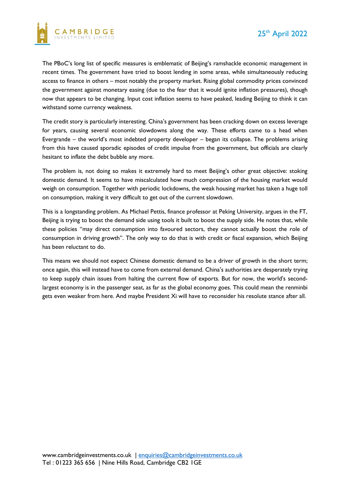

The PBoC's long list of specific measures is emblematic of Beijing's ramshackle economic management in recent times. The government have tried to boost lending in some areas, while simultaneously reducing access to finance in others – most notably the property market. Rising global commodity prices convinced the government against monetary easing (due to the fear that it would ignite inflation pressures), though now that appears to be changing. Input cost inflation seems to have peaked, leading Beijing to think it can withstand some currency weakness.

The credit story is particularly interesting. China's government has been cracking down on excess leverage for years, causing several economic slowdowns along the way. These efforts came to a head when Evergrande – the world's most indebted property developer – began its collapse. The problems arising from this have caused sporadic episodes of credit impulse from the government, but officials are clearly hesitant to inflate the debt bubble any more.

The problem is, not doing so makes it extremely hard to meet Beijing's other great objective: stoking domestic demand. It seems to have miscalculated how much compression of the housing market would weigh on consumption. Together with periodic lockdowns, the weak housing market has taken a huge toll on consumption, making it very difficult to get out of the current slowdown.

This is a longstanding problem. As Michael Pettis, finance professor at Peking University, argues in the FT, Beijing is trying to boost the demand side using tools it built to boost the supply side. He notes that, while these policies "may direct consumption into favoured sectors, they cannot actually boost the role of consumption in driving growth". The only way to do that is with credit or fiscal expansion, which Beijing has been reluctant to do.

This means we should not expect Chinese domestic demand to be a driver of growth in the short term; once again, this will instead have to come from external demand. China's authorities are desperately trying to keep supply chain issues from halting the current flow of exports. But for now, the world's secondlargest economy is in the passenger seat, as far as the global economy goes. This could mean the renminbi gets even weaker from here. And maybe President Xi will have to reconsider his resolute stance after all.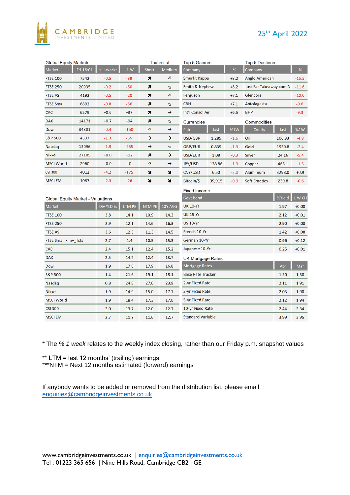

### 25<sup>th</sup> April 2022

| <b>Global Equity Markets</b><br>Technical |           |                                          |               |               | Top 5 Gainers            |        |                         | Top 5 Decliners     |         |         |
|-------------------------------------------|-----------|------------------------------------------|---------------|---------------|--------------------------|--------|-------------------------|---------------------|---------|---------|
| Fri 16:01                                 | % 1 Week* | 1W                                       | <b>Short</b>  | <b>Medium</b> | Company                  |        | %                       | Company             |         | $\%$    |
| 7542                                      | $-0.5$    | $-39$                                    | я             | ⇗             | Smurfit Kappa<br>$+8.2$  |        |                         | Anglo American      |         | $-15.5$ |
| 20935                                     | $-0.2$    | $-50$                                    | n             | A             | Smith & Nephew<br>$+8.2$ |        | Just Eat Takeaway.com N |                     | $-11.6$ |         |
| 4192                                      | $-0.5$    | $-20$                                    | n             | Ø             | Ferguson                 |        | $+7.1$                  | Glencore            |         | $-10.0$ |
| 6892                                      | $-0.8$    | $-56$                                    | n             | A             | <b>CRH</b>               |        | $+7.1$                  | Antofagasta         |         | $-9.6$  |
| 6579                                      | $+0.6$    | $+37$                                    | n             | →             | Int'l Consol Air         |        | $+6.5$                  | <b>BHP</b>          |         | $-9.3$  |
| 14171                                     | $+0.7$    | $+94$                                    | n             | A             | Currencies               |        | Commodities             |                     |         |         |
| 34301                                     | $-0.4$    | $-150$                                   | Ø             | →             | Pair                     | last   | %1W                     | Cmdty               | last    | %1W     |
| 4337                                      | $-1.3$    | $-55$                                    | →             | →             | USD/GBP                  | 1.285  | $-1.6$                  | Oil                 | 106.33  | $-4.8$  |
| 13096                                     | $-1.9$    | $-255$                                   | →             | A             | <b>GBP/EUR</b>           | 0.839  | $-1.3$                  | Gold                | 1930.8  | $-2.4$  |
| 27105                                     | $+0.0$    | $+12$                                    | 71            | →             | USD/EUR                  | 1.08   | $-0.3$                  | Silver              | 24.16   | $-5.4$  |
| 2960                                      | $+0.0$    | $+0$                                     | a             | →             | JPY/USD                  | 128.86 | $-1.9$                  | Copper              | 465.1   | $-1.5$  |
| 4013                                      | $-4.2$    | $-175$                                   | u             | N             | CNY/USD                  | 6.50   | $-2.0$                  | Aluminium           | 3298.0  | $+0.9$  |
| 1087                                      | $-2.3$    | $-26$                                    | N             | ×             | Bitcoin/\$               | 39,915 | $-0.9$                  | <b>Soft Cmdties</b> | 239.8   | $-0.6$  |
|                                           |           |                                          |               |               |                          |        |                         |                     |         |         |
|                                           |           |                                          |               |               | Govt bond                |        |                         |                     | %Yield  | 1 W CH  |
|                                           | Div YLD % | LTM PE                                   | <b>NTM PE</b> | 10Y AVG       | <b>UK 10-Yr</b>          |        |                         |                     | 1.97    | $+0.08$ |
|                                           | 3.8       | 14.1                                     | 10.9          | 14.3          | <b>UK 15-Yr</b>          |        |                         |                     | 2.12    | $+0.01$ |
|                                           | 2.9       | 12.1                                     | 14.6          | 16.3          | <b>US 10-Yr</b>          |        |                         | 2.90                | $+0.08$ |         |
|                                           | 3.6       | 12.3                                     | 11.3          | 14.5          | French 10-Yr             |        |                         |                     | 1.42    | $+0.08$ |
| FTSE Small x Inv_Tsts<br>2.7              |           | 1.4                                      | 10.5          | 15.3          | German 10-Yr             |        |                         |                     | 0.96    | $+0.12$ |
| <b>CAC</b><br>2.4                         |           | 15.1                                     | 12.4          | 15.2          | Japanese 10-Yr           |        |                         |                     | 0.25    | $+0.01$ |
|                                           | 2.5       | 14.2                                     | 12.4          | 13.7          | <b>UK Mortgage Rates</b> |        |                         |                     |         |         |
|                                           | 1.9       | 17.8                                     | 17.9          | 16.8          | Mortgage Rates           |        |                         |                     | Apr     | Mar     |
| <b>S&amp;P 500</b><br>1.4<br>21.6         |           |                                          | 19.1          | 18.1          | <b>Base Rate Tracker</b> |        |                         |                     | 1.50    | 1.50    |
| 0.8<br>Nasdag                             |           | 24.8                                     | 27.0          | 23.9          | 2-yr Fixed Rate          |        |                         | 2.11                | 1.91    |         |
|                                           | 1.9       | 14.9                                     | 15.0          | 17.7          | 3-yr Fixed Rate          |        |                         | 2.03                | 1.90    |         |
|                                           | 1.9       | 18.4                                     | 17.3          | 17.0          | 5-yr Fixed Rate          |        |                         | 2.12                | 1.94    |         |
|                                           | 2.0       | 13.7                                     | 12.0          | 12.7          | 10-yr Fixed Rate         |        |                         |                     | 2.44    | 2.34    |
| <b>MSCI EM</b><br>2.7                     |           | 11.2                                     | 11.6          | 12.7          | <b>Standard Variable</b> |        |                         |                     | 3.99    | 3.95    |
|                                           |           | <b>Global Equity Market - Valuations</b> |               |               |                          |        | <b>Fixed Income</b>     |                     |         |         |

\* The *% 1 week* relates to the weekly index closing, rather than our Friday p.m. snapshot values

\*\* LTM = last 12 months' (trailing) earnings;

\*\*\*NTM = Next 12 months estimated (forward) earnings

If anybody wants to be added or removed from the distribution list, please email [enquiries@cambridgeinvestments.co.uk](mailto:enquiries@cambridgeinvestments.co.uk)